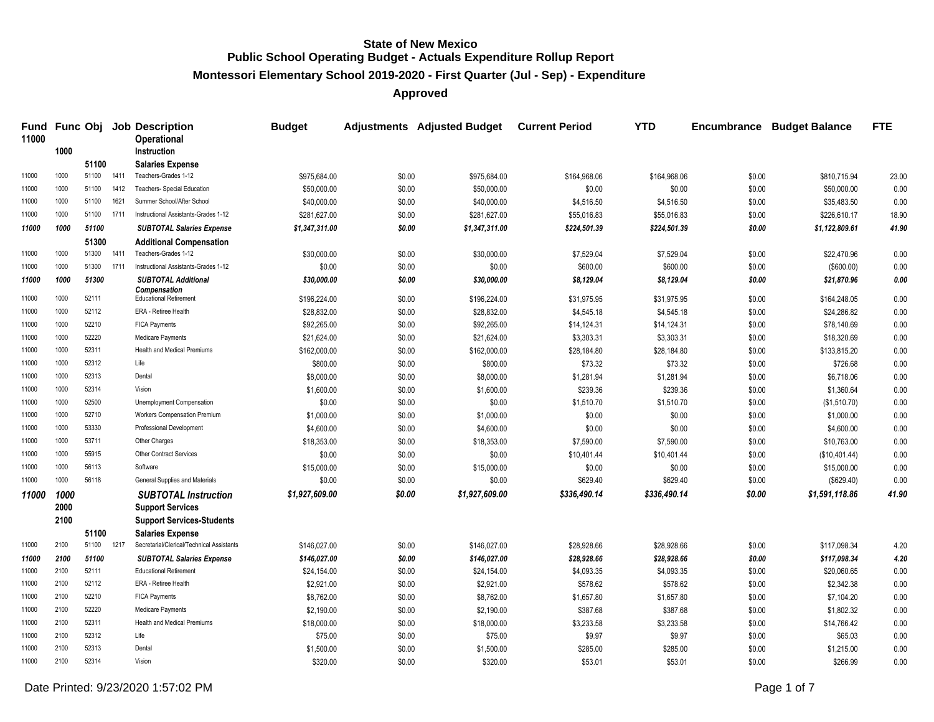**Montessori Elementary School 2019-2020 - First Quarter (Jul - Sep) - Expenditure**

| Fund<br>11000 |              |       |      | <b>Func Obj Job Description</b><br>Operational                       | <b>Budget</b>  |        | Adjustments Adjusted Budget Current Period |              | <b>YTD</b>   |        | <b>Encumbrance Budget Balance</b> | <b>FTE</b> |
|---------------|--------------|-------|------|----------------------------------------------------------------------|----------------|--------|--------------------------------------------|--------------|--------------|--------|-----------------------------------|------------|
|               | 1000         |       |      | Instruction                                                          |                |        |                                            |              |              |        |                                   |            |
|               |              | 51100 |      | <b>Salaries Expense</b>                                              |                |        |                                            |              |              |        |                                   |            |
| 11000         | 1000         | 51100 | 1411 | Teachers-Grades 1-12                                                 | \$975,684.00   | \$0.00 | \$975,684.00                               | \$164,968.06 | \$164,968.06 | \$0.00 | \$810,715.94                      | 23.00      |
| 11000         | 1000         | 51100 | 1412 | Teachers- Special Education                                          | \$50,000.00    | \$0.00 | \$50,000.00                                | \$0.00       | \$0.00       | \$0.00 | \$50,000.00                       | 0.00       |
| 11000         | 1000         | 51100 | 1621 | Summer School/After School                                           | \$40,000.00    | \$0.00 | \$40,000.00                                | \$4,516.50   | \$4,516.50   | \$0.00 | \$35,483.50                       | 0.00       |
| 11000         | 1000         | 51100 | 1711 | Instructional Assistants-Grades 1-12                                 | \$281,627.00   | \$0.00 | \$281,627.00                               | \$55,016.83  | \$55,016.83  | \$0.00 | \$226,610.17                      | 18.90      |
| 11000         | 1000         | 51100 |      | <b>SUBTOTAL Salaries Expense</b>                                     | \$1,347,311.00 | \$0.00 | \$1,347,311.00                             | \$224,501.39 | \$224,501.39 | \$0.00 | \$1,122,809.61                    | 41.90      |
|               |              | 51300 |      | <b>Additional Compensation</b>                                       |                |        |                                            |              |              |        |                                   |            |
| 11000         | 1000         | 51300 | 1411 | Teachers-Grades 1-12                                                 | \$30,000.00    | \$0.00 | \$30,000.00                                | \$7,529.04   | \$7,529.04   | \$0.00 | \$22,470.96                       | 0.00       |
| 11000         | 1000         | 51300 | 1711 | Instructional Assistants-Grades 1-12                                 | \$0.00         | \$0.00 | \$0.00                                     | \$600.00     | \$600.00     | \$0.00 | (\$600.00)                        | 0.00       |
| 11000         | 1000         | 51300 |      | <b>SUBTOTAL Additional</b>                                           | \$30,000.00    | \$0.00 | \$30,000.00                                | \$8,129.04   | \$8,129.04   | \$0.00 | \$21,870.96                       | 0.00       |
| 11000         | 1000         | 52111 |      | <b>Compensation</b><br><b>Educational Retirement</b>                 | \$196,224.00   | \$0.00 | \$196,224.00                               | \$31,975.95  | \$31,975.95  | \$0.00 | \$164,248.05                      | 0.00       |
| 11000         | 1000         | 52112 |      | ERA - Retiree Health                                                 | \$28,832.00    | \$0.00 | \$28,832.00                                | \$4,545.18   | \$4,545.18   | \$0.00 | \$24,286.82                       | 0.00       |
| 11000         | 1000         | 52210 |      | <b>FICA Payments</b>                                                 | \$92,265.00    | \$0.00 | \$92,265.00                                | \$14,124.31  | \$14,124.31  | \$0.00 | \$78,140.69                       | 0.00       |
| 11000         | 1000         | 52220 |      | Medicare Payments                                                    | \$21.624.00    | \$0.00 | \$21,624.00                                | \$3,303.31   | \$3,303.31   | \$0.00 | \$18,320.69                       | 0.00       |
| 11000         | 1000         | 52311 |      | Health and Medical Premiums                                          | \$162,000.00   | \$0.00 | \$162,000.00                               | \$28,184.80  | \$28,184.80  | \$0.00 | \$133,815.20                      | 0.00       |
| 11000         | 1000         | 52312 |      | Life                                                                 | \$800.00       | \$0.00 | \$800.00                                   | \$73.32      | \$73.32      | \$0.00 | \$726.68                          | 0.00       |
| 11000         | 1000         | 52313 |      | Dental                                                               | \$8,000.00     | \$0.00 | \$8,000.00                                 | \$1,281.94   | \$1,281.94   | \$0.00 | \$6,718.06                        | 0.00       |
| 11000         | 1000         | 52314 |      | Vision                                                               | \$1,600.00     | \$0.00 | \$1,600.00                                 | \$239.36     | \$239.36     | \$0.00 | \$1,360.64                        | 0.00       |
| 11000         | 1000         | 52500 |      | Unemployment Compensation                                            | \$0.00         | \$0.00 | \$0.00                                     | \$1,510.70   | \$1,510.70   | \$0.00 | (\$1,510.70)                      | 0.00       |
| 11000         | 1000         | 52710 |      | Workers Compensation Premium                                         | \$1,000.00     | \$0.00 | \$1,000.00                                 | \$0.00       | \$0.00       | \$0.00 | \$1,000.00                        | 0.00       |
| 11000         | 1000         | 53330 |      | Professional Development                                             | \$4,600.00     | \$0.00 | \$4,600.00                                 | \$0.00       | \$0.00       | \$0.00 | \$4,600.00                        | 0.00       |
| 11000         | 1000         | 53711 |      | Other Charges                                                        | \$18,353.00    | \$0.00 | \$18,353.00                                | \$7,590.00   | \$7,590.00   | \$0.00 | \$10,763.00                       | 0.00       |
| 11000         | 1000         | 55915 |      | <b>Other Contract Services</b>                                       | \$0.00         | \$0.00 | \$0.00                                     | \$10,401.44  | \$10,401.44  | \$0.00 | (\$10,401.44)                     | 0.00       |
| 11000         | 1000         | 56113 |      | Software                                                             | \$15,000.00    | \$0.00 | \$15,000.00                                | \$0.00       | \$0.00       | \$0.00 | \$15,000.00                       | 0.00       |
| 11000         | 1000         | 56118 |      | General Supplies and Materials                                       | \$0.00         | \$0.00 | \$0.00                                     | \$629.40     | \$629.40     | \$0.00 | (\$629.40)                        | 0.00       |
| 11000         | 1000<br>2000 |       |      | <b>SUBTOTAL Instruction</b>                                          | \$1,927,609.00 | \$0.00 | \$1,927,609.00                             | \$336,490.14 | \$336,490.14 | \$0.00 | \$1,591,118.86                    | 41.90      |
|               |              |       |      | <b>Support Services</b>                                              |                |        |                                            |              |              |        |                                   |            |
|               | 2100         | 51100 |      | <b>Support Services-Students</b>                                     |                |        |                                            |              |              |        |                                   |            |
| 11000         | 2100         | 51100 | 1217 | <b>Salaries Expense</b><br>Secretarial/Clerical/Technical Assistants | \$146,027.00   | \$0.00 | \$146,027.00                               | \$28,928.66  | \$28,928.66  | \$0.00 | \$117,098.34                      | 4.20       |
| 11000         | 2100         | 51100 |      | <b>SUBTOTAL Salaries Expense</b>                                     | \$146,027.00   | \$0.00 | \$146,027.00                               | \$28,928.66  | \$28,928.66  | \$0.00 | \$117,098.34                      | 4.20       |
| 11000         | 2100         | 52111 |      | <b>Educational Retirement</b>                                        | \$24,154.00    | \$0.00 | \$24,154.00                                | \$4,093.35   | \$4,093.35   | \$0.00 | \$20,060.65                       | 0.00       |
| 11000         | 2100         | 52112 |      | ERA - Retiree Health                                                 | \$2,921.00     | \$0.00 | \$2,921.00                                 | \$578.62     | \$578.62     | \$0.00 | \$2,342.38                        | 0.00       |
| 11000         | 2100         | 52210 |      | <b>FICA Payments</b>                                                 | \$8,762.00     | \$0.00 | \$8,762.00                                 | \$1,657.80   | \$1,657.80   | \$0.00 | \$7,104.20                        | 0.00       |
| 11000         | 2100         | 52220 |      | Medicare Payments                                                    | \$2,190.00     | \$0.00 | \$2,190.00                                 | \$387.68     | \$387.68     | \$0.00 | \$1,802.32                        | 0.00       |
| 11000         | 2100         | 52311 |      | Health and Medical Premiums                                          | \$18,000.00    | \$0.00 | \$18,000.00                                | \$3,233.58   | \$3,233.58   | \$0.00 | \$14,766.42                       | 0.00       |
| 11000         | 2100         | 52312 |      | Life                                                                 | \$75.00        | \$0.00 | \$75.00                                    | \$9.97       | \$9.97       | \$0.00 | \$65.03                           | 0.00       |
| 11000         | 2100         | 52313 |      | Dental                                                               | \$1,500.00     | \$0.00 | \$1,500.00                                 | \$285.00     | \$285.00     | \$0.00 | \$1,215.00                        | 0.00       |
| 11000         | 2100         | 52314 |      | Vision                                                               | \$320.00       | \$0.00 | \$320.00                                   | \$53.01      | \$53.01      | \$0.00 | \$266.99                          | 0.00       |
|               |              |       |      |                                                                      |                |        |                                            |              |              |        |                                   |            |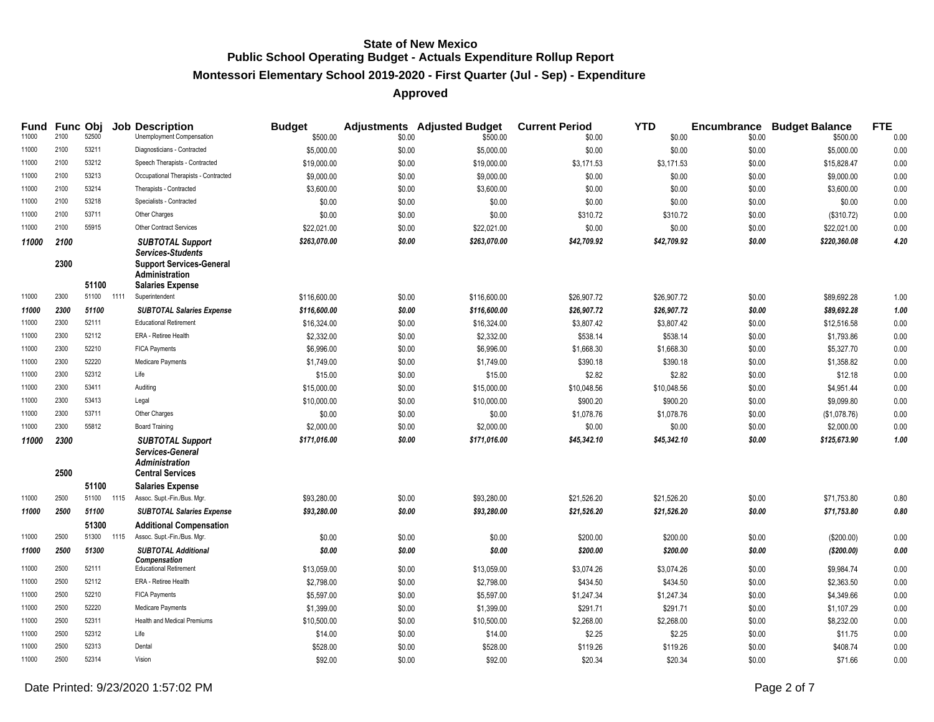# **Montessori Elementary School 2019-2020 - First Quarter (Jul - Sep) - Expenditure**

| Fund<br>11000 | <b>Func Obi</b><br>2100 | 52500 |      | <b>Job Description</b><br>Unemployment Compensation                                      | <b>Budget</b><br>\$500.00 | \$0.00 | <b>Adjustments</b> Adjusted Budget<br>\$500.00 | <b>Current Period</b><br>\$0.00 | <b>YTD</b><br>\$0.00 | \$0.00 | <b>Encumbrance Budget Balance</b><br>\$500.00 | <b>FTE</b><br>0.00 |
|---------------|-------------------------|-------|------|------------------------------------------------------------------------------------------|---------------------------|--------|------------------------------------------------|---------------------------------|----------------------|--------|-----------------------------------------------|--------------------|
| 11000         | 2100                    | 53211 |      | Diagnosticians - Contracted                                                              | \$5,000.00                | \$0.00 | \$5,000.00                                     | \$0.00                          | \$0.00               | \$0.00 | \$5,000.00                                    | 0.00               |
| 11000         | 2100                    | 53212 |      | Speech Therapists - Contracted                                                           | \$19,000.00               | \$0.00 | \$19,000.00                                    | \$3,171.53                      | \$3,171.53           | \$0.00 | \$15,828.47                                   | 0.00               |
| 11000         | 2100                    | 53213 |      | Occupational Therapists - Contracted                                                     | \$9,000.00                | \$0.00 | \$9,000.00                                     | \$0.00                          | \$0.00               | \$0.00 | \$9,000.00                                    | 0.00               |
| 11000         | 2100                    | 53214 |      | Therapists - Contracted                                                                  | \$3,600.00                | \$0.00 | \$3,600.00                                     | \$0.00                          | \$0.00               | \$0.00 | \$3,600.00                                    | 0.00               |
| 11000         | 2100                    | 53218 |      | Specialists - Contracted                                                                 | \$0.00                    | \$0.00 | \$0.00                                         | \$0.00                          | \$0.00               | \$0.00 | \$0.00                                        | 0.00               |
| 11000         | 2100                    | 53711 |      | Other Charges                                                                            | \$0.00                    | \$0.00 | \$0.00                                         | \$310.72                        | \$310.72             | \$0.00 | (\$310.72)                                    | 0.00               |
| 11000         | 2100                    | 55915 |      | Other Contract Services                                                                  | \$22,021.00               | \$0.00 | \$22,021.00                                    | \$0.00                          | \$0.00               | \$0.00 | \$22,021.00                                   | 0.00               |
| 11000         | 2100<br>2300            |       |      | <b>SUBTOTAL Support</b><br><b>Services-Students</b><br><b>Support Services-General</b>   | \$263,070.00              | \$0.00 | \$263,070.00                                   | \$42,709.92                     | \$42,709.92          | \$0.00 | \$220,360.08                                  | 4.20               |
|               |                         |       |      | Administration                                                                           |                           |        |                                                |                                 |                      |        |                                               |                    |
|               |                         | 51100 |      | <b>Salaries Expense</b>                                                                  |                           |        |                                                |                                 |                      |        |                                               |                    |
| 11000         | 2300                    | 51100 | 1111 | Superintendent                                                                           | \$116,600.00              | \$0.00 | \$116,600.00                                   | \$26,907.72                     | \$26,907.72          | \$0.00 | \$89,692.28                                   | 1.00               |
| 11000         | 2300                    | 51100 |      | <b>SUBTOTAL Salaries Expense</b>                                                         | \$116,600.00              | \$0.00 | \$116,600.00                                   | \$26,907.72                     | \$26,907.72          | \$0.00 | \$89,692.28                                   | 1.00               |
| 11000         | 2300                    | 52111 |      | <b>Educational Retirement</b>                                                            | \$16,324.00               | \$0.00 | \$16,324.00                                    | \$3,807.42                      | \$3,807.42           | \$0.00 | \$12,516.58                                   | 0.00               |
| 11000         | 2300                    | 52112 |      | ERA - Retiree Health                                                                     | \$2,332.00                | \$0.00 | \$2,332.00                                     | \$538.14                        | \$538.14             | \$0.00 | \$1,793.86                                    | 0.00               |
| 11000         | 2300                    | 52210 |      | <b>FICA Payments</b>                                                                     | \$6,996.00                | \$0.00 | \$6,996.00                                     | \$1,668.30                      | \$1,668.30           | \$0.00 | \$5,327.70                                    | 0.00               |
| 11000         | 2300                    | 52220 |      | Medicare Payments                                                                        | \$1,749.00                | \$0.00 | \$1,749.00                                     | \$390.18                        | \$390.18             | \$0.00 | \$1,358.82                                    | 0.00               |
| 11000         | 2300                    | 52312 |      | Life                                                                                     | \$15.00                   | \$0.00 | \$15.00                                        | \$2.82                          | \$2.82               | \$0.00 | \$12.18                                       | 0.00               |
| 11000         | 2300                    | 53411 |      | Auditing                                                                                 | \$15,000.00               | \$0.00 | \$15,000.00                                    | \$10,048.56                     | \$10,048.56          | \$0.00 | \$4,951.44                                    | 0.00               |
| 11000         | 2300                    | 53413 |      | Legal                                                                                    | \$10,000.00               | \$0.00 | \$10,000.00                                    | \$900.20                        | \$900.20             | \$0.00 | \$9,099.80                                    | 0.00               |
| 11000         | 2300                    | 53711 |      | Other Charges                                                                            | \$0.00                    | \$0.00 | \$0.00                                         | \$1,078.76                      | \$1,078.76           | \$0.00 | (\$1,078.76)                                  | 0.00               |
| 11000         | 2300                    | 55812 |      | <b>Board Training</b>                                                                    | \$2,000.00                | \$0.00 | \$2,000.00                                     | \$0.00                          | \$0.00               | \$0.00 | \$2,000.00                                    | $0.00\,$           |
| 11000         | 2300<br>2500            |       |      | <b>SUBTOTAL Support</b><br>Services-General<br>Administration<br><b>Central Services</b> | \$171,016.00              | \$0.00 | \$171,016.00                                   | \$45,342.10                     | \$45,342.10          | \$0.00 | \$125,673.90                                  | 1.00               |
|               |                         | 51100 |      | <b>Salaries Expense</b>                                                                  |                           |        |                                                |                                 |                      |        |                                               |                    |
| 11000         | 2500                    | 51100 | 1115 | Assoc. Supt.-Fin./Bus. Mgr.                                                              | \$93,280.00               | \$0.00 | \$93,280.00                                    | \$21,526.20                     | \$21,526.20          | \$0.00 | \$71,753.80                                   | 0.80               |
| 11000         | 2500                    | 51100 |      | <b>SUBTOTAL Salaries Expense</b>                                                         | \$93,280.00               | \$0.00 | \$93,280.00                                    | \$21,526.20                     | \$21,526.20          | \$0.00 | \$71,753.80                                   | $\it 0.80$         |
|               |                         | 51300 |      | <b>Additional Compensation</b>                                                           |                           |        |                                                |                                 |                      |        |                                               |                    |
| 11000         | 2500                    | 51300 | 1115 | Assoc. Supt.-Fin./Bus. Mgr.                                                              | \$0.00                    | \$0.00 | \$0.00                                         | \$200.00                        | \$200.00             | \$0.00 | (\$200.00)                                    | 0.00               |
| 11000         | 2500                    | 51300 |      | <b>SUBTOTAL Additional</b><br>Compensation                                               | \$0.00                    | \$0.00 | \$0.00                                         | \$200.00                        | \$200.00             | \$0.00 | ( \$200.00)                                   | 0.00               |
| 11000         | 2500                    | 52111 |      | <b>Educational Retirement</b>                                                            | \$13,059.00               | \$0.00 | \$13,059.00                                    | \$3,074.26                      | \$3,074.26           | \$0.00 | \$9,984.74                                    | 0.00               |
| 11000         | 2500                    | 52112 |      | ERA - Retiree Health                                                                     | \$2,798.00                | \$0.00 | \$2,798.00                                     | \$434.50                        | \$434.50             | \$0.00 | \$2,363.50                                    | 0.00               |
| 11000         | 2500                    | 52210 |      | <b>FICA Payments</b>                                                                     | \$5,597.00                | \$0.00 | \$5,597.00                                     | \$1,247.34                      | \$1,247.34           | \$0.00 | \$4,349.66                                    | 0.00               |
| 11000         | 2500                    | 52220 |      | Medicare Payments                                                                        | \$1,399.00                | \$0.00 | \$1,399.00                                     | \$291.71                        | \$291.71             | \$0.00 | \$1,107.29                                    | 0.00               |
| 11000         | 2500                    | 52311 |      | <b>Health and Medical Premiums</b>                                                       | \$10,500.00               | \$0.00 | \$10,500.00                                    | \$2,268.00                      | \$2,268.00           | \$0.00 | \$8,232.00                                    | 0.00               |
| 11000         | 2500                    | 52312 |      | Life                                                                                     | \$14.00                   | \$0.00 | \$14.00                                        | \$2.25                          | \$2.25               | \$0.00 | \$11.75                                       | 0.00               |
| 11000         | 2500                    | 52313 |      | Dental                                                                                   | \$528.00                  | \$0.00 | \$528.00                                       | \$119.26                        | \$119.26             | \$0.00 | \$408.74                                      | 0.00               |
| 11000         | 2500                    | 52314 |      | Vision                                                                                   | \$92.00                   | \$0.00 | \$92.00                                        | \$20.34                         | \$20.34              | \$0.00 | \$71.66                                       | 0.00               |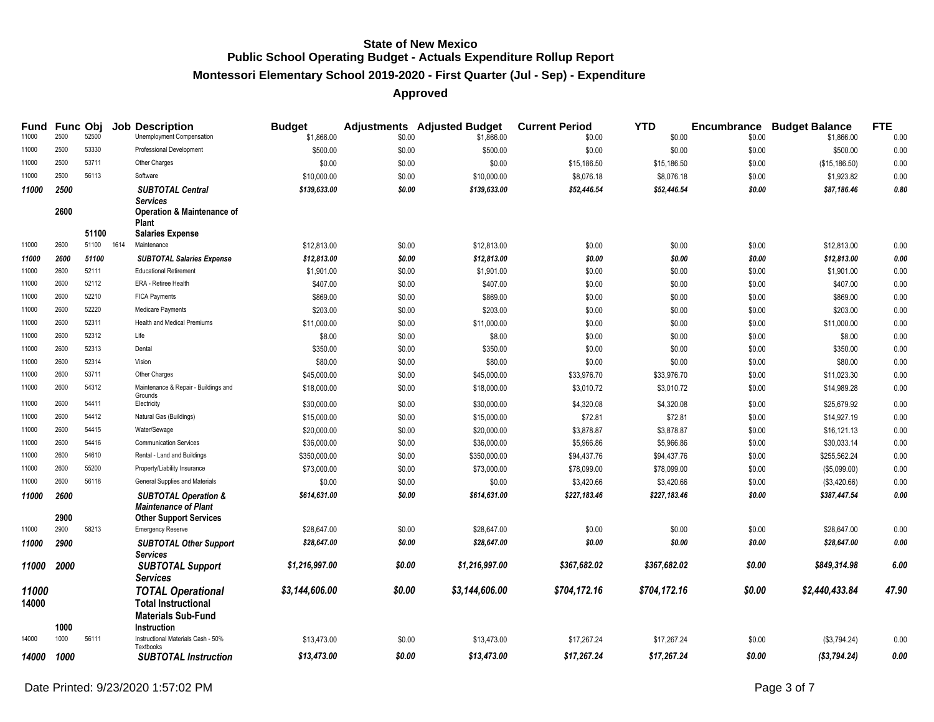# **Montessori Elementary School 2019-2020 - First Quarter (Jul - Sep) - Expenditure**

| <b>Fund</b><br>11000 | 2500         | Func Obj<br>52500 | <b>Job Description</b><br>Unemployment Compensation                                                                     | <b>Budget</b>               |                  | <b>Adjustments</b> Adjusted Budget | <b>Current Period</b>     | <b>YTD</b>                |                  | <b>Encumbrance Budget Balance</b> | <b>FTE</b>   |
|----------------------|--------------|-------------------|-------------------------------------------------------------------------------------------------------------------------|-----------------------------|------------------|------------------------------------|---------------------------|---------------------------|------------------|-----------------------------------|--------------|
| 11000                | 2500         | 53330             | Professional Development                                                                                                | \$1,866.00<br>\$500.00      | \$0.00<br>\$0.00 | \$1,866.00<br>\$500.00             | \$0.00<br>\$0.00          | \$0.00<br>\$0.00          | \$0.00<br>\$0.00 | \$1,866.00<br>\$500.00            | 0.00         |
| 11000                | 2500         | 53711             | Other Charges                                                                                                           | \$0.00                      |                  |                                    |                           |                           |                  |                                   | 0.00         |
| 11000                | 2500         | 56113             | Software                                                                                                                |                             | \$0.00<br>\$0.00 | \$0.00                             | \$15,186.50               | \$15,186.50               | \$0.00           | (\$15, 186.50)                    | 0.00         |
|                      |              |                   |                                                                                                                         | \$10,000.00<br>\$139,633.00 | \$0.00           | \$10,000.00<br>\$139,633.00        | \$8,076.18<br>\$52,446.54 | \$8,076.18<br>\$52,446.54 | \$0.00<br>\$0.00 | \$1,923.82<br>\$87,186.46         | 0.00<br>0.80 |
| 11000                | 2500<br>2600 | 51100             | <b>SUBTOTAL Central</b><br><b>Services</b><br><b>Operation &amp; Maintenance of</b><br>Plant<br><b>Salaries Expense</b> |                             |                  |                                    |                           |                           |                  |                                   |              |
| 11000                | 2600         | 51100 1614        | Maintenance                                                                                                             | \$12,813.00                 | \$0.00           | \$12,813.00                        | \$0.00                    | \$0.00                    | \$0.00           | \$12,813.00                       | 0.00         |
| 11000                | 2600         | 51100             | <b>SUBTOTAL Salaries Expense</b>                                                                                        | \$12,813.00                 | \$0.00           | \$12,813.00                        | \$0.00                    | \$0.00                    | \$0.00           | \$12,813.00                       | 0.00         |
| 11000                | 2600         | 52111             | <b>Educational Retirement</b>                                                                                           | \$1,901.00                  | \$0.00           | \$1,901.00                         | \$0.00                    | \$0.00                    | \$0.00           | \$1,901.00                        | 0.00         |
| 11000                | 2600         | 52112             | ERA - Retiree Health                                                                                                    | \$407.00                    | \$0.00           | \$407.00                           | \$0.00                    | \$0.00                    | \$0.00           | \$407.00                          | 0.00         |
| 11000                | 2600         | 52210             | <b>FICA Payments</b>                                                                                                    | \$869.00                    | \$0.00           | \$869.00                           | \$0.00                    | \$0.00                    | \$0.00           | \$869.00                          | 0.00         |
| 11000                | 2600         | 52220             | Medicare Payments                                                                                                       | \$203.00                    | \$0.00           | \$203.00                           | \$0.00                    | \$0.00                    | \$0.00           | \$203.00                          | 0.00         |
| 11000                | 2600         | 52311             | <b>Health and Medical Premiums</b>                                                                                      | \$11,000.00                 | \$0.00           | \$11,000.00                        | \$0.00                    | \$0.00                    | \$0.00           | \$11,000.00                       | 0.00         |
| 11000                | 2600         | 52312             | Life                                                                                                                    | \$8.00                      | \$0.00           | \$8.00                             | \$0.00                    | \$0.00                    | \$0.00           | \$8.00                            | 0.00         |
| 11000                | 2600         | 52313             | Dental                                                                                                                  | \$350.00                    | \$0.00           | \$350.00                           | \$0.00                    | \$0.00                    | \$0.00           | \$350.00                          | 0.00         |
| 11000                | 2600         | 52314             | Vision                                                                                                                  | \$80.00                     | \$0.00           | \$80.00                            | \$0.00                    | \$0.00                    | \$0.00           | \$80.00                           | 0.00         |
| 11000                | 2600         | 53711             | Other Charges                                                                                                           | \$45,000.00                 | \$0.00           | \$45,000.00                        | \$33,976.70               | \$33,976.70               | \$0.00           | \$11,023.30                       | 0.00         |
| 11000                | 2600         | 54312             | Maintenance & Repair - Buildings and                                                                                    | \$18,000.00                 | \$0.00           | \$18,000.00                        | \$3,010.72                | \$3,010.72                | \$0.00           | \$14,989.28                       | 0.00         |
| 11000                | 2600         | 54411             | Grounds<br>Electricity                                                                                                  | \$30,000.00                 | \$0.00           | \$30,000.00                        | \$4,320.08                | \$4,320.08                | \$0.00           | \$25,679.92                       | 0.00         |
| 11000                | 2600         | 54412             | Natural Gas (Buildings)                                                                                                 | \$15,000.00                 | \$0.00           | \$15,000.00                        | \$72.81                   | \$72.81                   | \$0.00           | \$14,927.19                       | 0.00         |
| 11000                | 2600         | 54415             | Water/Sewage                                                                                                            | \$20,000.00                 | \$0.00           | \$20,000.00                        | \$3,878.87                | \$3,878.87                | \$0.00           | \$16,121.13                       | 0.00         |
| 11000                | 2600         | 54416             | <b>Communication Services</b>                                                                                           | \$36,000.00                 | \$0.00           | \$36,000.00                        | \$5,966.86                | \$5,966.86                | \$0.00           | \$30,033.14                       | 0.00         |
| 11000                | 2600         | 54610             | Rental - Land and Buildings                                                                                             | \$350,000.00                | \$0.00           | \$350,000.00                       | \$94,437.76               | \$94,437.76               | \$0.00           | \$255,562.24                      | 0.00         |
| 11000                | 2600         | 55200             | Property/Liability Insurance                                                                                            | \$73,000.00                 | \$0.00           | \$73,000.00                        | \$78,099.00               | \$78,099.00               | \$0.00           | (\$5,099.00)                      | 0.00         |
| 11000                | 2600         | 56118             | General Supplies and Materials                                                                                          | \$0.00                      | \$0.00           | \$0.00                             | \$3,420.66                | \$3,420.66                | \$0.00           | (\$3,420.66)                      | 0.00         |
| 11000                | 2600<br>2900 |                   | <b>SUBTOTAL Operation &amp;</b><br><b>Maintenance of Plant</b>                                                          | \$614,631.00                | \$0.00           | \$614,631.00                       | \$227,183.46              | \$227,183.46              | \$0.00           | \$387,447.54                      | 0.00         |
| 11000                | 2900         | 58213             | <b>Other Support Services</b><br><b>Emergency Reserve</b>                                                               | \$28,647.00                 | \$0.00           | \$28,647.00                        | \$0.00                    | \$0.00                    | \$0.00           | \$28,647.00                       | 0.00         |
| 11000                | 2900         |                   | <b>SUBTOTAL Other Support</b>                                                                                           | \$28,647.00                 | \$0.00           | \$28,647.00                        | \$0.00                    | \$0.00                    | \$0.00           | \$28,647.00                       | 0.00         |
|                      |              |                   | <b>Services</b>                                                                                                         |                             | \$0.00           |                                    |                           |                           |                  |                                   | 6.00         |
| 11000                | 2000         |                   | <b>SUBTOTAL Support</b><br><b>Services</b>                                                                              | \$1,216,997.00              |                  | \$1,216,997.00                     | \$367,682.02              | \$367,682.02              | \$0.00           | \$849,314.98                      |              |
| 11000<br>14000       | 1000         |                   | <b>TOTAL Operational</b><br><b>Total Instructional</b><br><b>Materials Sub-Fund</b><br>Instruction                      | \$3,144,606.00              | \$0.00           | \$3,144,606.00                     | \$704,172.16              | \$704,172.16              | \$0.00           | \$2,440,433.84                    | 47.90        |
| 14000                | 1000         | 56111             | Instructional Materials Cash - 50%<br>Textbooks                                                                         | \$13,473.00                 | \$0.00           | \$13,473.00                        | \$17,267.24               | \$17,267.24               | \$0.00           | (\$3,794.24)                      | 0.00         |
| 14000                | 1000         |                   | <b>SUBTOTAL Instruction</b>                                                                                             | \$13,473.00                 | \$0.00           | \$13,473.00                        | \$17,267.24               | \$17,267.24               | \$0.00           | (S3,794.24)                       | 0.00         |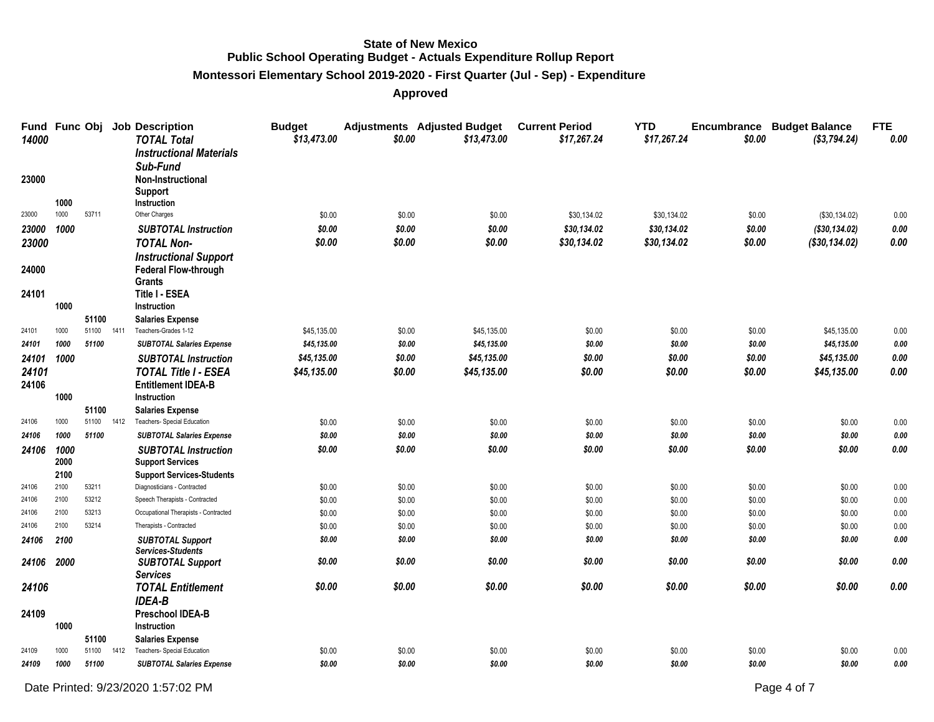# **Montessori Elementary School 2019-2020 - First Quarter (Jul - Sep) - Expenditure**

| 14000      |      |       |      | Fund Func Obj Job Description<br><b>TOTAL Total</b><br><b>Instructional Materials</b> | <b>Budget</b><br>\$13,473.00 | \$0.00 | <b>Adjustments</b> Adjusted Budget<br>\$13,473.00 | <b>Current Period</b><br>\$17,267.24 | <b>YTD</b><br>\$17,267.24 | \$0.00 | Encumbrance Budget Balance<br>(\$3,794.24) | <b>FTE</b><br>0.00 |
|------------|------|-------|------|---------------------------------------------------------------------------------------|------------------------------|--------|---------------------------------------------------|--------------------------------------|---------------------------|--------|--------------------------------------------|--------------------|
| 23000      | 1000 |       |      | Sub-Fund<br>Non-Instructional<br><b>Support</b><br>Instruction                        |                              |        |                                                   |                                      |                           |        |                                            |                    |
| 23000      | 1000 | 53711 |      | Other Charges                                                                         | \$0.00                       | \$0.00 | \$0.00                                            | \$30,134.02                          | \$30,134.02               | \$0.00 | (\$30,134.02)                              | 0.00               |
| 23000 1000 |      |       |      | <b>SUBTOTAL Instruction</b>                                                           | \$0.00                       | \$0.00 | \$0.00                                            | \$30,134.02                          | \$30,134.02               | \$0.00 | (\$30,134.02)                              | 0.00               |
| 23000      |      |       |      | <b>TOTAL Non-</b>                                                                     | \$0.00                       | \$0.00 | \$0.00                                            | \$30,134.02                          | \$30,134.02               | \$0.00 | (\$30,134.02)                              | 0.00               |
|            |      |       |      | <b>Instructional Support</b>                                                          |                              |        |                                                   |                                      |                           |        |                                            |                    |
| 24000      |      |       |      | <b>Federal Flow-through</b>                                                           |                              |        |                                                   |                                      |                           |        |                                            |                    |
|            |      |       |      | Grants                                                                                |                              |        |                                                   |                                      |                           |        |                                            |                    |
| 24101      |      |       |      | <b>Title I - ESEA</b>                                                                 |                              |        |                                                   |                                      |                           |        |                                            |                    |
|            | 1000 |       |      | Instruction                                                                           |                              |        |                                                   |                                      |                           |        |                                            |                    |
|            |      | 51100 |      | <b>Salaries Expense</b>                                                               |                              |        |                                                   |                                      |                           |        |                                            |                    |
| 24101      | 1000 | 51100 | 1411 | Teachers-Grades 1-12                                                                  | \$45,135.00                  | \$0.00 | \$45,135.00                                       | \$0.00                               | \$0.00                    | \$0.00 | \$45,135.00                                | 0.00               |
| 24101      | 1000 | 51100 |      | <b>SUBTOTAL Salaries Expense</b>                                                      | \$45,135.00                  | \$0.00 | \$45,135.00                                       | \$0.00                               | \$0.00                    | \$0.00 | \$45,135.00                                | 0.00               |
| 24101      | 1000 |       |      | <b>SUBTOTAL Instruction</b>                                                           | \$45,135.00                  | \$0.00 | \$45,135.00                                       | \$0.00                               | \$0.00                    | \$0.00 | \$45,135.00                                | $0.00\,$           |
| 24101      |      |       |      | <b>TOTAL Title I - ESEA</b>                                                           | \$45,135.00                  | \$0.00 | \$45,135.00                                       | \$0.00                               | \$0.00                    | \$0.00 | \$45,135.00                                | 0.00               |
| 24106      |      |       |      | <b>Entitlement IDEA-B</b>                                                             |                              |        |                                                   |                                      |                           |        |                                            |                    |
|            | 1000 | 51100 |      | Instruction<br><b>Salaries Expense</b>                                                |                              |        |                                                   |                                      |                           |        |                                            |                    |
| 24106      | 1000 | 51100 | 1412 | Teachers- Special Education                                                           | \$0.00                       | \$0.00 | \$0.00                                            | \$0.00                               | \$0.00                    | \$0.00 | \$0.00                                     | 0.00               |
| 24106      | 1000 | 51100 |      | <b>SUBTOTAL Salaries Expense</b>                                                      | \$0.00                       | \$0.00 | \$0.00                                            | \$0.00                               | \$0.00                    | \$0.00 | \$0.00                                     | 0.00               |
| 24106      | 1000 |       |      | <b>SUBTOTAL Instruction</b>                                                           | \$0.00                       | \$0.00 | \$0.00                                            | \$0.00                               | \$0.00                    | \$0.00 | \$0.00                                     | 0.00               |
|            | 2000 |       |      | <b>Support Services</b>                                                               |                              |        |                                                   |                                      |                           |        |                                            |                    |
|            | 2100 |       |      | <b>Support Services-Students</b>                                                      |                              |        |                                                   |                                      |                           |        |                                            |                    |
| 24106      | 2100 | 53211 |      | Diagnosticians - Contracted                                                           | \$0.00                       | \$0.00 | \$0.00                                            | \$0.00                               | \$0.00                    | \$0.00 | \$0.00                                     | 0.00               |
| 24106      | 2100 | 53212 |      | Speech Therapists - Contracted                                                        | \$0.00                       | \$0.00 | \$0.00                                            | \$0.00                               | \$0.00                    | \$0.00 | \$0.00                                     | 0.00               |
| 24106      | 2100 | 53213 |      | Occupational Therapists - Contracted                                                  | \$0.00                       | \$0.00 | \$0.00                                            | \$0.00                               | \$0.00                    | \$0.00 | \$0.00                                     | 0.00               |
| 24106      | 2100 | 53214 |      | Therapists - Contracted                                                               | \$0.00                       | \$0.00 | \$0.00                                            | \$0.00                               | \$0.00                    | \$0.00 | \$0.00                                     | 0.00               |
| 24106      | 2100 |       |      | <b>SUBTOTAL Support</b>                                                               | \$0.00                       | \$0.00 | \$0.00                                            | \$0.00                               | \$0.00                    | \$0.00 | \$0.00                                     | 0.00               |
|            |      |       |      | <b>Services-Students</b>                                                              |                              |        |                                                   |                                      |                           |        |                                            |                    |
| 24106      | 2000 |       |      | <b>SUBTOTAL Support</b>                                                               | \$0.00                       | \$0.00 | \$0.00                                            | \$0.00                               | \$0.00                    | \$0.00 | \$0.00                                     | 0.00               |
|            |      |       |      | <b>Services</b>                                                                       |                              |        |                                                   |                                      |                           |        |                                            |                    |
| 24106      |      |       |      | <b>TOTAL Entitlement</b><br><b>IDEA-B</b>                                             | \$0.00                       | \$0.00 | \$0.00                                            | \$0.00                               | \$0.00                    | \$0.00 | \$0.00                                     | 0.00               |
| 24109      |      |       |      | <b>Preschool IDEA-B</b>                                                               |                              |        |                                                   |                                      |                           |        |                                            |                    |
|            | 1000 |       |      | <b>Instruction</b>                                                                    |                              |        |                                                   |                                      |                           |        |                                            |                    |
|            |      | 51100 |      | <b>Salaries Expense</b>                                                               |                              |        |                                                   |                                      |                           |        |                                            |                    |
| 24109      | 1000 | 51100 | 1412 | Teachers- Special Education                                                           | \$0.00                       | \$0.00 | \$0.00                                            | \$0.00                               | \$0.00                    | \$0.00 | \$0.00                                     | 0.00               |
| 24109      | 1000 | 51100 |      | <b>SUBTOTAL Salaries Expense</b>                                                      | \$0.00                       | \$0.00 | \$0.00                                            | \$0.00                               | \$0.00                    | \$0.00 | \$0.00                                     | 0.00               |
|            |      |       |      |                                                                                       |                              |        |                                                   |                                      |                           |        |                                            |                    |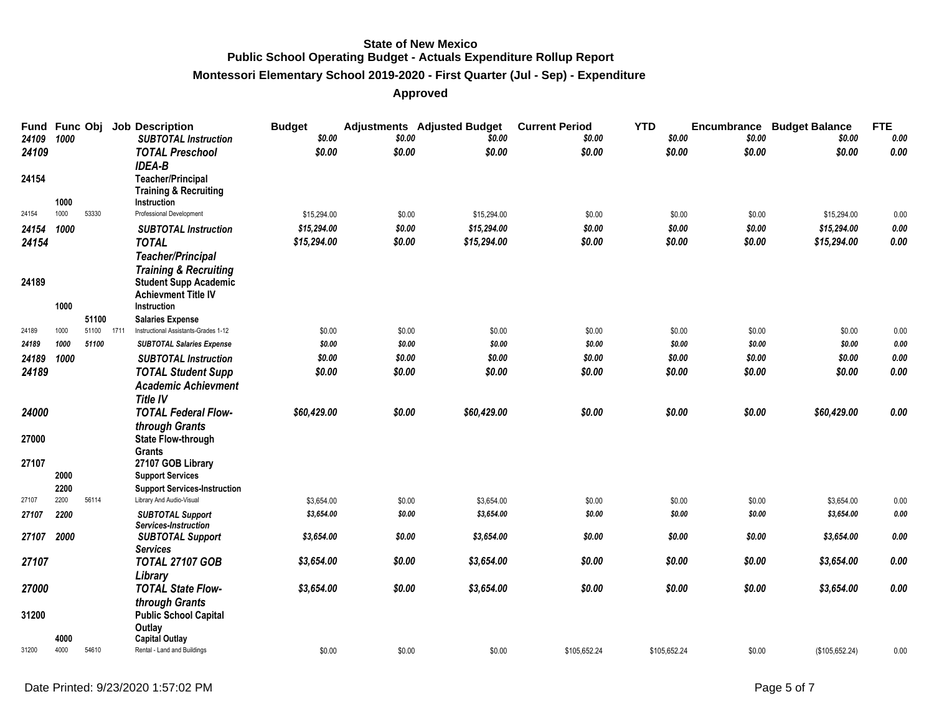# **Montessori Elementary School 2019-2020 - First Quarter (Jul - Sep) - Expenditure**

| Fund Func Obj<br>24109 | 1000         |       |      | <b>Job Description</b><br><b>SUBTOTAL Instruction</b>                       | <b>Budget</b><br>\$0.00 | \$0.00           | <b>Adjustments</b> Adjusted Budget<br>\$0.00 | <b>Current Period</b><br>\$0.00 | <b>YTD</b> | \$0.00           | \$0.00           | <b>Encumbrance Budget Balance</b><br>\$0.00 | <b>FTE</b><br>0.00 |
|------------------------|--------------|-------|------|-----------------------------------------------------------------------------|-------------------------|------------------|----------------------------------------------|---------------------------------|------------|------------------|------------------|---------------------------------------------|--------------------|
| 24109                  |              |       |      | <b>TOTAL Preschool</b><br><b>IDEA-B</b>                                     | \$0.00                  | \$0.00           | \$0.00                                       | \$0.00                          |            | \$0.00           | \$0.00           | \$0.00                                      | 0.00               |
| 24154                  | 1000         |       |      | <b>Teacher/Principal</b><br><b>Training &amp; Recruiting</b><br>Instruction |                         |                  |                                              |                                 |            |                  |                  |                                             |                    |
| 24154                  | 1000         | 53330 |      | Professional Development                                                    | \$15,294.00             | \$0.00           | \$15,294.00                                  | \$0.00                          |            | \$0.00           | \$0.00           | \$15,294.00                                 | 0.00               |
| 24154                  | 1000         |       |      | <b>SUBTOTAL Instruction</b>                                                 | \$15,294.00             | \$0.00           | \$15,294.00                                  | \$0.00                          |            | \$0.00           | \$0.00           | \$15,294.00                                 | 0.00               |
| 24154                  |              |       |      | <b>TOTAL</b>                                                                | \$15,294.00             | \$0.00           | \$15,294.00                                  | \$0.00                          |            | \$0.00           | \$0.00           | \$15,294.00                                 | 0.00               |
|                        |              |       |      | <b>Teacher/Principal</b>                                                    |                         |                  |                                              |                                 |            |                  |                  |                                             |                    |
|                        |              |       |      | <b>Training &amp; Recruiting</b>                                            |                         |                  |                                              |                                 |            |                  |                  |                                             |                    |
| 24189                  |              |       |      | <b>Student Supp Academic</b>                                                |                         |                  |                                              |                                 |            |                  |                  |                                             |                    |
|                        |              |       |      | <b>Achievment Title IV</b>                                                  |                         |                  |                                              |                                 |            |                  |                  |                                             |                    |
|                        | 1000         |       |      | Instruction                                                                 |                         |                  |                                              |                                 |            |                  |                  |                                             |                    |
|                        |              | 51100 |      | <b>Salaries Expense</b>                                                     |                         |                  |                                              |                                 |            |                  |                  |                                             |                    |
| 24189                  | 1000         | 51100 | 1711 | Instructional Assistants-Grades 1-12                                        | \$0.00                  | \$0.00           | \$0.00                                       | \$0.00                          |            | \$0.00           | \$0.00           | \$0.00                                      | 0.00               |
| 24189                  | 1000         | 51100 |      | <b>SUBTOTAL Salaries Expense</b>                                            | \$0.00                  | \$0.00           | \$0.00                                       | \$0.00                          |            | \$0.00           | \$0.00           | \$0.00                                      | 0.00               |
| 24189                  | 1000         |       |      | <b>SUBTOTAL Instruction</b>                                                 | \$0.00<br>\$0.00        | \$0.00<br>\$0.00 | \$0.00<br>\$0.00                             | \$0.00<br>\$0.00                |            | \$0.00<br>\$0.00 | \$0.00<br>\$0.00 | \$0.00<br>\$0.00                            | 0.00<br>0.00       |
| 24189                  |              |       |      | <b>TOTAL Student Supp</b>                                                   |                         |                  |                                              |                                 |            |                  |                  |                                             |                    |
|                        |              |       |      | <b>Academic Achievment</b><br><b>Title IV</b>                               |                         |                  |                                              |                                 |            |                  |                  |                                             |                    |
| 24000                  |              |       |      | <b>TOTAL Federal Flow-</b>                                                  | \$60,429.00             | \$0.00           | \$60,429.00                                  | \$0.00                          |            | \$0.00           | \$0.00           | \$60,429.00                                 | $0.00\,$           |
|                        |              |       |      | through Grants                                                              |                         |                  |                                              |                                 |            |                  |                  |                                             |                    |
| 27000                  |              |       |      | <b>State Flow-through</b>                                                   |                         |                  |                                              |                                 |            |                  |                  |                                             |                    |
|                        |              |       |      | <b>Grants</b>                                                               |                         |                  |                                              |                                 |            |                  |                  |                                             |                    |
| 27107                  |              |       |      | 27107 GOB Library                                                           |                         |                  |                                              |                                 |            |                  |                  |                                             |                    |
|                        | 2000         |       |      | <b>Support Services</b>                                                     |                         |                  |                                              |                                 |            |                  |                  |                                             |                    |
|                        | 2200         |       |      | <b>Support Services-Instruction</b>                                         |                         |                  |                                              |                                 |            |                  |                  |                                             |                    |
| 27107                  | 2200         | 56114 |      | Library And Audio-Visual                                                    | \$3,654.00              | \$0.00           | \$3,654.00                                   | \$0.00                          |            | \$0.00           | \$0.00           | \$3,654.00                                  | 0.00               |
| 27107                  | 2200         |       |      | <b>SUBTOTAL Support</b><br>Services-Instruction                             | \$3,654.00              | \$0.00           | \$3,654.00                                   | \$0.00                          |            | \$0.00           | \$0.00           | \$3,654.00                                  | 0.00               |
| 27107                  | 2000         |       |      | <b>SUBTOTAL Support</b>                                                     | \$3,654.00              | \$0.00           | \$3,654.00                                   | \$0.00                          |            | \$0.00           | \$0.00           | \$3,654.00                                  | 0.00               |
|                        |              |       |      | <b>Services</b>                                                             |                         |                  |                                              |                                 |            |                  |                  |                                             |                    |
| 27107                  |              |       |      | <b>TOTAL 27107 GOB</b>                                                      | \$3,654.00              | \$0.00           | \$3,654.00                                   | \$0.00                          |            | \$0.00           | \$0.00           | \$3,654.00                                  | 0.00               |
|                        |              |       |      | Library                                                                     |                         |                  |                                              |                                 |            |                  |                  |                                             |                    |
| 27000                  |              |       |      | <b>TOTAL State Flow-</b>                                                    | \$3,654.00              | \$0.00           | \$3,654.00                                   | \$0.00                          |            | \$0.00           | \$0.00           | \$3,654.00                                  | 0.00               |
|                        |              |       |      | through Grants                                                              |                         |                  |                                              |                                 |            |                  |                  |                                             |                    |
| 31200                  |              |       |      | <b>Public School Capital</b>                                                |                         |                  |                                              |                                 |            |                  |                  |                                             |                    |
|                        |              |       |      | Outlay                                                                      |                         |                  |                                              |                                 |            |                  |                  |                                             |                    |
| 31200                  | 4000<br>4000 | 54610 |      | <b>Capital Outlay</b><br>Rental - Land and Buildings                        | \$0.00                  | \$0.00           | \$0.00                                       | \$105,652.24                    |            | \$105,652.24     | \$0.00           | (\$105,652.24)                              | 0.00               |
|                        |              |       |      |                                                                             |                         |                  |                                              |                                 |            |                  |                  |                                             |                    |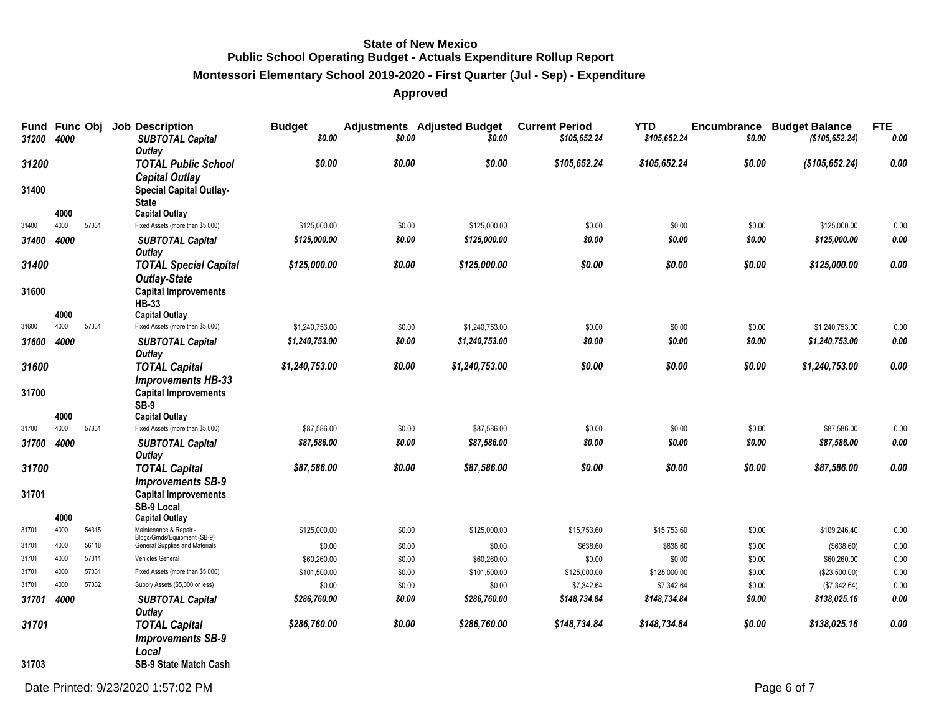# **Montessori Elementary School 2019-2020 - First Quarter (Jul - Sep) - Expenditure**

| 31200          | Fund Func Obj<br>4000 |                | <b>Job Description</b><br><b>SUBTOTAL Capital</b>         | <b>Budget</b><br>\$0.00 | \$0.00           | <b>Adjustments</b> Adjusted Budget<br>\$0.00 | <b>Current Period</b><br>\$105,652.24 | <b>YTD</b><br>\$105,652.24 | Encumbrance<br>\$0.00 | <b>Budget Balance</b><br>(\$105,652.24) | <b>FTE</b><br>0.00 |
|----------------|-----------------------|----------------|-----------------------------------------------------------|-------------------------|------------------|----------------------------------------------|---------------------------------------|----------------------------|-----------------------|-----------------------------------------|--------------------|
| 31200          |                       |                | Outlay<br><b>TOTAL Public School</b>                      | \$0.00                  | \$0.00           | \$0.00                                       | \$105,652.24                          | \$105,652.24               | \$0.00                | (\$105, 652.24)                         | 0.00               |
|                |                       |                | <b>Capital Outlay</b>                                     |                         |                  |                                              |                                       |                            |                       |                                         |                    |
| 31400          |                       |                | <b>Special Capital Outlay-</b><br><b>State</b>            |                         |                  |                                              |                                       |                            |                       |                                         |                    |
| 31400          | 4000<br>4000          | 57331          | <b>Capital Outlay</b><br>Fixed Assets (more than \$5,000) | \$125,000.00            | \$0.00           | \$125,000.00                                 | \$0.00                                | \$0.00                     | \$0.00                | \$125,000.00                            |                    |
| 31400          | 4000                  |                | <b>SUBTOTAL Capital</b>                                   | \$125,000.00            | \$0.00           | \$125,000.00                                 | \$0.00                                | \$0.00                     | \$0.00                | \$125,000.00                            | 0.00<br>0.00       |
|                |                       |                | Outlay                                                    |                         |                  |                                              |                                       |                            |                       |                                         |                    |
| 31400          |                       |                | <b>TOTAL Special Capital</b><br><b>Outlay-State</b>       | \$125,000.00            | \$0.00           | \$125,000.00                                 | \$0.00                                | \$0.00                     | \$0.00                | \$125,000.00                            | 0.00               |
| 31600          |                       |                | <b>Capital Improvements</b><br><b>HB-33</b>               |                         |                  |                                              |                                       |                            |                       |                                         |                    |
| 31600          | 4000<br>4000          | 57331          | <b>Capital Outlay</b><br>Fixed Assets (more than \$5,000) | \$1,240,753.00          | \$0.00           | \$1,240,753.00                               | \$0.00                                | \$0.00                     | \$0.00                | \$1,240,753.00                          | 0.00               |
| 31600          | 4000                  |                | <b>SUBTOTAL Capital</b>                                   | \$1,240,753.00          | \$0.00           | \$1,240,753.00                               | \$0.00                                | \$0.00                     | \$0.00                | \$1,240,753.00                          | 0.00               |
| 31600          |                       |                | Outlay                                                    | \$1,240,753.00          | \$0.00           | \$1,240,753.00                               | \$0.00                                | \$0.00                     | \$0.00                | \$1,240,753.00                          | 0.00               |
|                |                       |                | <b>TOTAL Capital</b><br><b>Improvements HB-33</b>         |                         |                  |                                              |                                       |                            |                       |                                         |                    |
| 31700          |                       |                | <b>Capital Improvements</b><br>SB-9                       |                         |                  |                                              |                                       |                            |                       |                                         |                    |
|                | 4000                  |                | <b>Capital Outlay</b>                                     |                         |                  |                                              |                                       |                            |                       |                                         |                    |
| 31700          | 4000                  | 57331          | Fixed Assets (more than \$5,000)                          | \$87,586.00             | \$0.00           | \$87,586.00                                  | \$0.00                                | \$0.00                     | \$0.00                | \$87,586.00                             | 0.00               |
| 31700          | 4000                  |                | <b>SUBTOTAL Capital</b><br><b>Outlay</b>                  | \$87,586.00             | \$0.00           | \$87,586.00                                  | \$0.00                                | \$0.00                     | \$0.00                | \$87,586.00                             | 0.00               |
| 31700          |                       |                | <b>TOTAL Capital</b>                                      | \$87,586.00             | \$0.00           | \$87,586.00                                  | \$0.00                                | \$0.00                     | \$0.00                | \$87,586.00                             | 0.00               |
|                |                       |                | <b>Improvements SB-9</b>                                  |                         |                  |                                              |                                       |                            |                       |                                         |                    |
| 31701          |                       |                | <b>Capital Improvements</b><br>SB-9 Local                 |                         |                  |                                              |                                       |                            |                       |                                         |                    |
| 31701          | 4000<br>4000          | 54315          | <b>Capital Outlay</b>                                     |                         |                  |                                              |                                       |                            |                       |                                         |                    |
|                |                       |                | Maintenance & Repair<br>Bldgs/Grnds/Equipment (SB-9)      | \$125,000.00            | \$0.00           | \$125,000.00                                 | \$15,753.60                           | \$15,753.60                | \$0.00                | \$109,246.40                            | 0.00               |
| 31701          | 4000<br>4000          | 56118          | General Supplies and Materials<br>Vehicles General        | \$0.00                  | \$0.00           | \$0.00                                       | \$638.60                              | \$638.60                   | \$0.00                | (\$638.60)                              | 0.00               |
| 31701<br>31701 | 4000                  | 57311<br>57331 | Fixed Assets (more than \$5,000)                          | \$60,260.00             | \$0.00           | \$60,260.00                                  | \$0.00                                | \$0.00                     | \$0.00                | \$60,260.00                             | 0.00               |
| 31701          | 4000                  | 57332          | Supply Assets (\$5,000 or less)                           | \$101,500.00            | \$0.00           | \$101,500.00                                 | \$125,000.00                          | \$125,000.00               | \$0.00                | (\$23,500.00)                           | 0.00               |
|                |                       |                |                                                           | \$0.00<br>\$286,760.00  | \$0.00<br>\$0.00 | \$0.00                                       | \$7,342.64                            | \$7,342.64                 | \$0.00<br>\$0.00      | (\$7,342.64)<br>\$138,025.16            | 0.00<br>0.00       |
| 31701          | 4000                  |                | <b>SUBTOTAL Capital</b><br>Outlay                         |                         |                  | \$286,760.00                                 | \$148,734.84                          | \$148,734.84               |                       |                                         |                    |
| 31701          |                       |                | <b>TOTAL Capital</b>                                      | \$286,760.00            | \$0.00           | \$286,760.00                                 | \$148,734.84                          | \$148,734.84               | \$0.00                | \$138,025.16                            | 0.00               |
|                |                       |                | <b>Improvements SB-9</b><br>Local                         |                         |                  |                                              |                                       |                            |                       |                                         |                    |
| 31703          |                       |                | <b>SB-9 State Match Cash</b>                              |                         |                  |                                              |                                       |                            |                       |                                         |                    |